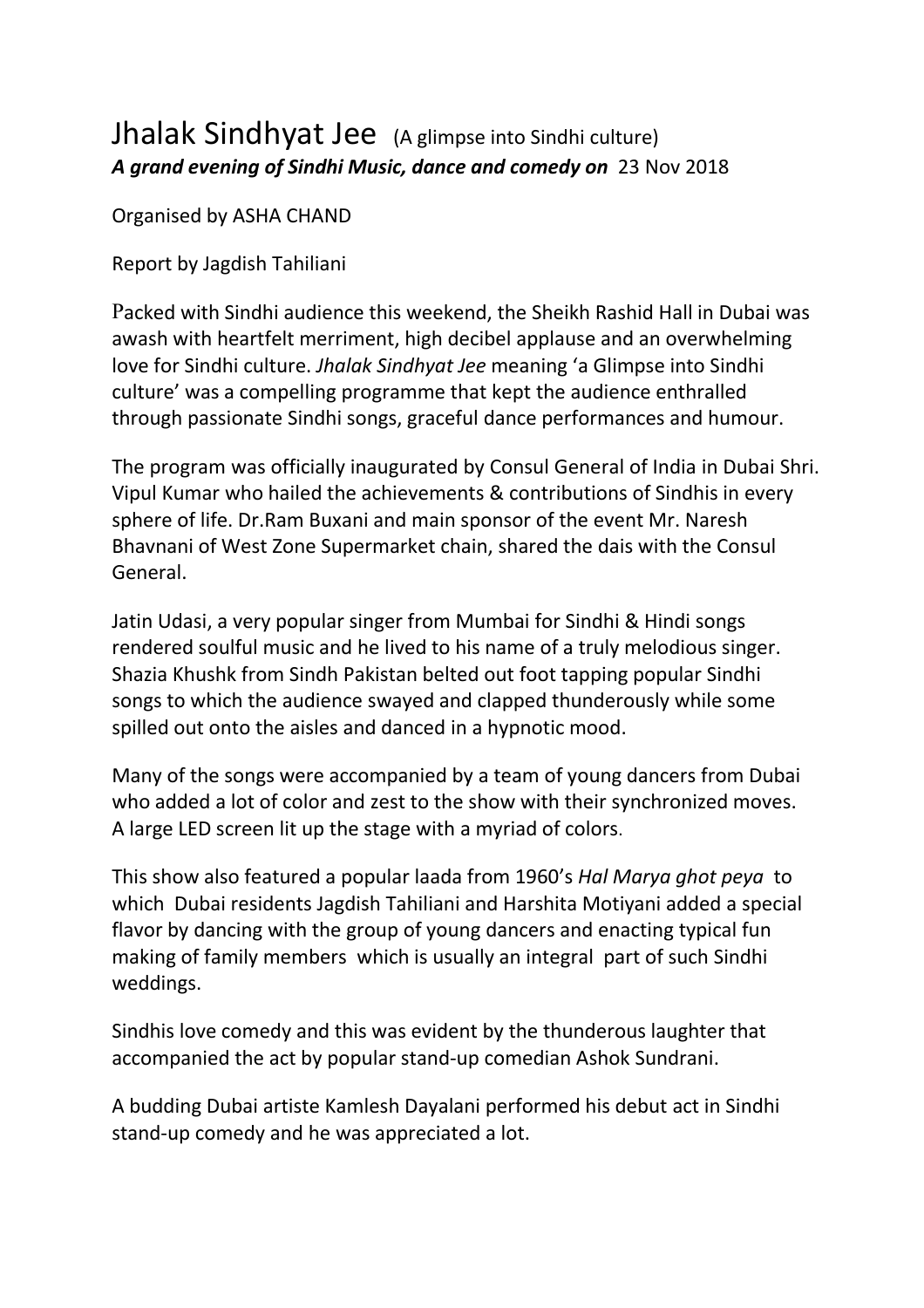## Jhalak Sindhyat Jee (A glimpse into Sindhi culture) *A grand evening of Sindhi Music, dance and comedy on* 23 Nov 2018

Organised by ASHA CHAND

Report by Jagdish Tahiliani

Packed with Sindhi audience this weekend, the Sheikh Rashid Hall in Dubai was awash with heartfelt merriment, high decibel applause and an overwhelming love for Sindhi culture. *Jhalak Sindhyat Jee* meaning 'a Glimpse into Sindhi culture' was a compelling programme that kept the audience enthralled through passionate Sindhi songs, graceful dance performances and humour.

The program was officially inaugurated by Consul General of India in Dubai Shri. Vipul Kumar who hailed the achievements & contributions of Sindhis in every sphere of life. Dr.Ram Buxani and main sponsor of the event Mr. Naresh Bhavnani of West Zone Supermarket chain, shared the dais with the Consul General.

Jatin Udasi, a very popular singer from Mumbai for Sindhi & Hindi songs rendered soulful music and he lived to his name of a truly melodious singer. Shazia Khushk from Sindh Pakistan belted out foot tapping popular Sindhi songs to which the audience swayed and clapped thunderously while some spilled out onto the aisles and danced in a hypnotic mood.

Many of the songs were accompanied by a team of young dancers from Dubai who added a lot of color and zest to the show with their synchronized moves. A large LED screen lit up the stage with a myriad of colors.

This show also featured a popular laada from 1960's *Hal Marya ghot peya* to which Dubai residents Jagdish Tahiliani and Harshita Motiyani added a special flavor by dancing with the group of young dancers and enacting typical fun making of family members which is usually an integral part of such Sindhi weddings.

Sindhis love comedy and this was evident by the thunderous laughter that accompanied the act by popular stand-up comedian Ashok Sundrani.

A budding Dubai artiste Kamlesh Dayalani performed his debut act in Sindhi stand-up comedy and he was appreciated a lot.